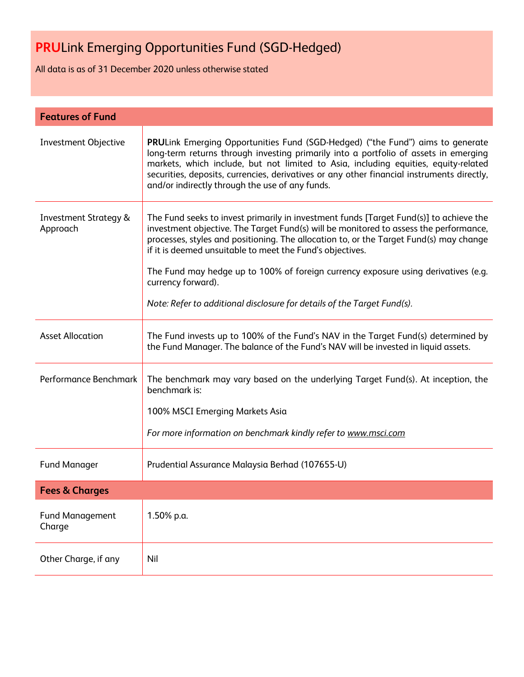All data is as of 31 December 2020 unless otherwise stated

| <b>Features of Fund</b>                      |                                                                                                                                                                                                                                                                                                                                                                                                                                                                                                                               |  |
|----------------------------------------------|-------------------------------------------------------------------------------------------------------------------------------------------------------------------------------------------------------------------------------------------------------------------------------------------------------------------------------------------------------------------------------------------------------------------------------------------------------------------------------------------------------------------------------|--|
| Investment Objective                         | <b>PRULink Emerging Opportunities Fund (SGD-Hedged) ("the Fund") aims to generate</b><br>long-term returns through investing primarily into a portfolio of assets in emerging<br>markets, which include, but not limited to Asia, including equities, equity-related<br>securities, deposits, currencies, derivatives or any other financial instruments directly,<br>and/or indirectly through the use of any funds.                                                                                                         |  |
| <b>Investment Strategy &amp;</b><br>Approach | The Fund seeks to invest primarily in investment funds [Target Fund(s)] to achieve the<br>investment objective. The Target Fund(s) will be monitored to assess the performance,<br>processes, styles and positioning. The allocation to, or the Target Fund(s) may change<br>if it is deemed unsuitable to meet the Fund's objectives.<br>The Fund may hedge up to 100% of foreign currency exposure using derivatives (e.g.<br>currency forward).<br>Note: Refer to additional disclosure for details of the Target Fund(s). |  |
| <b>Asset Allocation</b>                      | The Fund invests up to 100% of the Fund's NAV in the Target Fund(s) determined by<br>the Fund Manager. The balance of the Fund's NAV will be invested in liquid assets.                                                                                                                                                                                                                                                                                                                                                       |  |
| Performance Benchmark                        | The benchmark may vary based on the underlying Target Fund(s). At inception, the<br>benchmark is:<br>100% MSCI Emerging Markets Asia                                                                                                                                                                                                                                                                                                                                                                                          |  |
|                                              | For more information on benchmark kindly refer to www.msci.com                                                                                                                                                                                                                                                                                                                                                                                                                                                                |  |
| <b>Fund Manager</b>                          | Prudential Assurance Malaysia Berhad (107655-U)                                                                                                                                                                                                                                                                                                                                                                                                                                                                               |  |
| <b>Fees &amp; Charges</b>                    |                                                                                                                                                                                                                                                                                                                                                                                                                                                                                                                               |  |
| <b>Fund Management</b><br>Charge             | 1.50% p.a.                                                                                                                                                                                                                                                                                                                                                                                                                                                                                                                    |  |
| Other Charge, if any                         | Nil                                                                                                                                                                                                                                                                                                                                                                                                                                                                                                                           |  |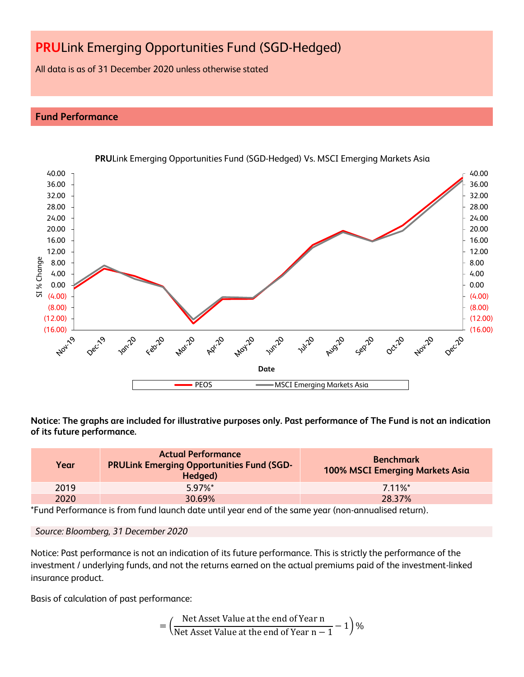All data is as of 31 December 2020 unless otherwise stated

### **Fund Performance**



**PRU**Link Emerging Opportunities Fund (SGD-Hedged) Vs. MSCI Emerging Markets Asia

**Notice: The graphs are included for illustrative purposes only. Past performance of The Fund is not an indication of its future performance.**

| Year | <b>Actual Performance</b><br><b>PRULink Emerging Opportunities Fund (SGD-</b><br>Hedged) | <b>Benchmark</b><br>100% MSCI Emerging Markets Asia |
|------|------------------------------------------------------------------------------------------|-----------------------------------------------------|
| 2019 | $5.97\%$ *                                                                               | 7 11%*                                              |
| 2020 | 30.69%                                                                                   | 28.37%                                              |

\*Fund Performance is from fund launch date until year end of the same year (non-annualised return).

*Source: Bloomberg, 31 December 2020*

Notice: Past performance is not an indication of its future performance. This is strictly the performance of the investment / underlying funds, and not the returns earned on the actual premiums paid of the investment-linked insurance product.

Basis of calculation of past performance:

$$
= \left(\frac{\text{Net Asset Value at the end of Year n}}{\text{Net Asset Value at the end of Year n} - 1}\right)\%
$$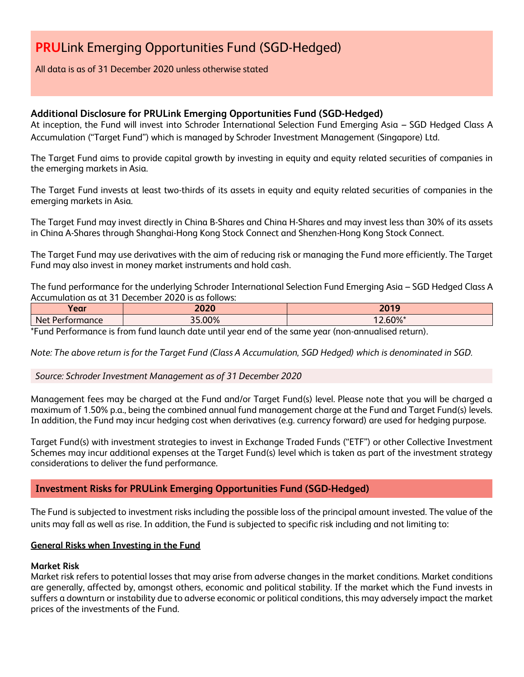All data is as of 31 December 2020 unless otherwise stated

### **Additional Disclosure for PRULink Emerging Opportunities Fund (SGD-Hedged)**

At inception, the Fund will invest into Schroder International Selection Fund Emerging Asia – SGD Hedged Class A Accumulation ("Target Fund") which is managed by Schroder Investment Management (Singapore) Ltd.

The Target Fund aims to provide capital growth by investing in equity and equity related securities of companies in the emerging markets in Asia.

The Target Fund invests at least two-thirds of its assets in equity and equity related securities of companies in the emerging markets in Asia.

The Target Fund may invest directly in China B-Shares and China H-Shares and may invest less than 30% of its assets in China A-Shares through Shanghai-Hong Kong Stock Connect and Shenzhen-Hong Kong Stock Connect.

The Target Fund may use derivatives with the aim of reducing risk or managing the Fund more efficiently. The Target Fund may also invest in money market instruments and hold cash.

The fund performance for the underlying Schroder International Selection Fund Emerging Asia – SGD Hedged Class A Accumulation as at 31 December 2020 is as follows:

| <b>Year</b>               | 2020   | 2010<br>20 I J |
|---------------------------|--------|----------------|
| <b>Net</b><br>Performance | 35.00% | 2.60%*         |

\*Fund Performance is from fund launch date until year end of the same year (non-annualised return).

*Note: The above return is for the Target Fund (Class A Accumulation, SGD Hedged) which is denominated in SGD.*

#### *Source: Schroder Investment Management as of 31 December 2020*

Management fees may be charged at the Fund and/or Target Fund(s) level. Please note that you will be charged a maximum of 1.50% p.a., being the combined annual fund management charge at the Fund and Target Fund(s) levels. In addition, the Fund may incur hedging cost when derivatives (e.g. currency forward) are used for hedging purpose.

Target Fund(s) with investment strategies to invest in Exchange Traded Funds ("ETF") or other Collective Investment Schemes may incur additional expenses at the Target Fund(s) level which is taken as part of the investment strategy considerations to deliver the fund performance.

### **Investment Risks for PRULink Emerging Opportunities Fund (SGD-Hedged)**

The Fund is subjected to investment risks including the possible loss of the principal amount invested. The value of the units may fall as well as rise. In addition, the Fund is subjected to specific risk including and not limiting to:

#### **General Risks when Investing in the Fund**

#### **Market Risk**

Market risk refers to potential losses that may arise from adverse changes in the market conditions. Market conditions are generally, affected by, amongst others, economic and political stability. If the market which the Fund invests in suffers a downturn or instability due to adverse economic or political conditions, this may adversely impact the market prices of the investments of the Fund.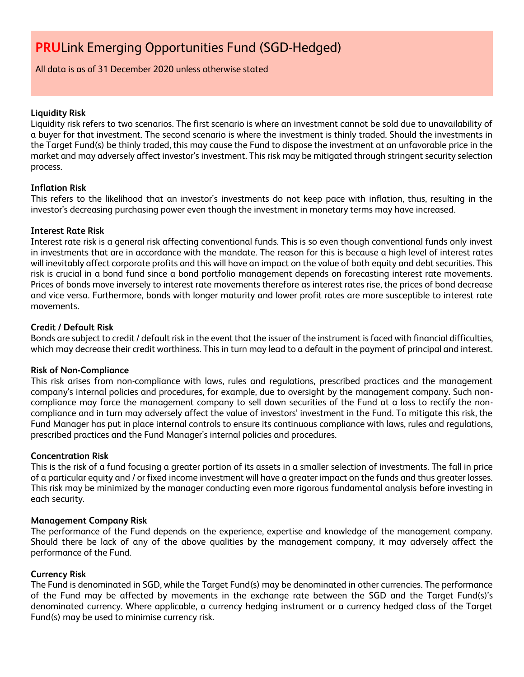#### All data is as of 31 December 2020 unless otherwise stated

#### **Liquidity Risk**

Liquidity risk refers to two scenarios. The first scenario is where an investment cannot be sold due to unavailability of a buyer for that investment. The second scenario is where the investment is thinly traded. Should the investments in the Target Fund(s) be thinly traded, this may cause the Fund to dispose the investment at an unfavorable price in the market and may adversely affect investor's investment. This risk may be mitigated through stringent security selection process.

#### **Inflation Risk**

This refers to the likelihood that an investor's investments do not keep pace with inflation, thus, resulting in the investor's decreasing purchasing power even though the investment in monetary terms may have increased.

#### **Interest Rate Risk**

Interest rate risk is a general risk affecting conventional funds. This is so even though conventional funds only invest in investments that are in accordance with the mandate. The reason for this is because a high level of interest rates will inevitably affect corporate profits and this will have an impact on the value of both equity and debt securities. This risk is crucial in a bond fund since a bond portfolio management depends on forecasting interest rate movements. Prices of bonds move inversely to interest rate movements therefore as interest rates rise, the prices of bond decrease and vice versa. Furthermore, bonds with longer maturity and lower profit rates are more susceptible to interest rate movements.

#### **Credit / Default Risk**

Bonds are subject to credit / default risk in the event that the issuer of the instrument is faced with financial difficulties, which may decrease their credit worthiness. This in turn may lead to a default in the payment of principal and interest.

#### **Risk of Non-Compliance**

This risk arises from non-compliance with laws, rules and regulations, prescribed practices and the management company's internal policies and procedures, for example, due to oversight by the management company. Such noncompliance may force the management company to sell down securities of the Fund at a loss to rectify the noncompliance and in turn may adversely affect the value of investors' investment in the Fund. To mitigate this risk, the Fund Manager has put in place internal controls to ensure its continuous compliance with laws, rules and regulations, prescribed practices and the Fund Manager's internal policies and procedures.

#### **Concentration Risk**

This is the risk of a fund focusing a greater portion of its assets in a smaller selection of investments. The fall in price of a particular equity and / or fixed income investment will have a greater impact on the funds and thus greater losses. This risk may be minimized by the manager conducting even more rigorous fundamental analysis before investing in each security.

#### **Management Company Risk**

The performance of the Fund depends on the experience, expertise and knowledge of the management company. Should there be lack of any of the above qualities by the management company, it may adversely affect the performance of the Fund.

#### **Currency Risk**

The Fund is denominated in SGD, while the Target Fund(s) may be denominated in other currencies. The performance of the Fund may be affected by movements in the exchange rate between the SGD and the Target Fund(s)'s denominated currency. Where applicable, a currency hedging instrument or a currency hedged class of the Target Fund(s) may be used to minimise currency risk.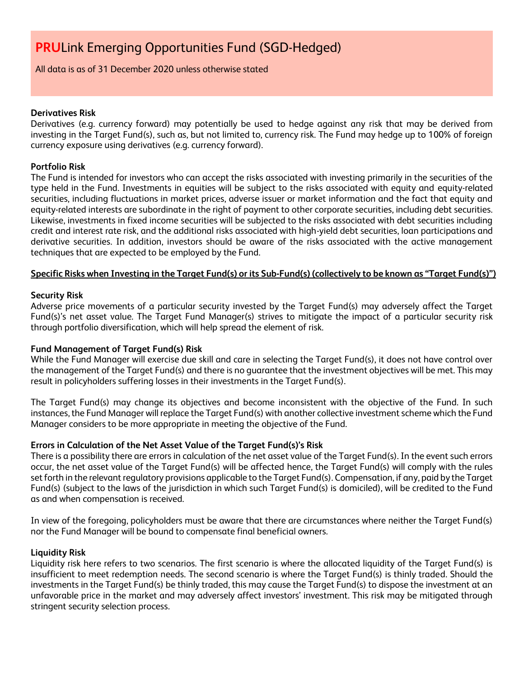All data is as of 31 December 2020 unless otherwise stated

#### **Derivatives Risk**

Derivatives (e.g. currency forward) may potentially be used to hedge against any risk that may be derived from investing in the Target Fund(s), such as, but not limited to, currency risk. The Fund may hedge up to 100% of foreign currency exposure using derivatives (e.g. currency forward).

#### **Portfolio Risk**

The Fund is intended for investors who can accept the risks associated with investing primarily in the securities of the type held in the Fund. Investments in equities will be subject to the risks associated with equity and equity-related securities, including fluctuations in market prices, adverse issuer or market information and the fact that equity and equity-related interests are subordinate in the right of payment to other corporate securities, including debt securities. Likewise, investments in fixed income securities will be subjected to the risks associated with debt securities including credit and interest rate risk, and the additional risks associated with high-yield debt securities, loan participations and derivative securities. In addition, investors should be aware of the risks associated with the active management techniques that are expected to be employed by the Fund.

#### **Specific Risks when Investing in the Target Fund(s) or its Sub-Fund(s) (collectively to be known as "Target Fund(s)")**

#### **Security Risk**

Adverse price movements of a particular security invested by the Target Fund(s) may adversely affect the Target Fund(s)'s net asset value. The Target Fund Manager(s) strives to mitigate the impact of a particular security risk through portfolio diversification, which will help spread the element of risk.

### **Fund Management of Target Fund(s) Risk**

While the Fund Manager will exercise due skill and care in selecting the Target Fund(s), it does not have control over the management of the Target Fund(s) and there is no guarantee that the investment objectives will be met. This may result in policyholders suffering losses in their investments in the Target Fund(s).

The Target Fund(s) may change its objectives and become inconsistent with the objective of the Fund. In such instances, the Fund Manager will replace the Target Fund(s) with another collective investment scheme which the Fund Manager considers to be more appropriate in meeting the objective of the Fund.

#### **Errors in Calculation of the Net Asset Value of the Target Fund(s)'s Risk**

There is a possibility there are errors in calculation of the net asset value of the Target Fund(s). In the event such errors occur, the net asset value of the Target Fund(s) will be affected hence, the Target Fund(s) will comply with the rules set forth in the relevant regulatory provisions applicable to the Target Fund(s). Compensation, if any, paid by the Target Fund(s) (subject to the laws of the jurisdiction in which such Target Fund(s) is domiciled), will be credited to the Fund as and when compensation is received.

In view of the foregoing, policyholders must be aware that there are circumstances where neither the Target Fund(s) nor the Fund Manager will be bound to compensate final beneficial owners.

#### **Liquidity Risk**

Liquidity risk here refers to two scenarios. The first scenario is where the allocated liquidity of the Target Fund(s) is insufficient to meet redemption needs. The second scenario is where the Target Fund(s) is thinly traded. Should the investments in the Target Fund(s) be thinly traded, this may cause the Target Fund(s) to dispose the investment at an unfavorable price in the market and may adversely affect investors' investment. This risk may be mitigated through stringent security selection process.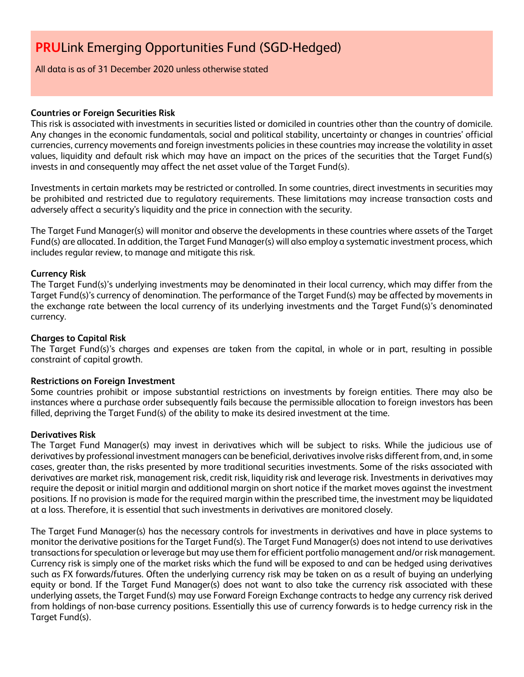All data is as of 31 December 2020 unless otherwise stated

#### **Countries or Foreign Securities Risk**

This risk is associated with investments in securities listed or domiciled in countries other than the country of domicile. Any changes in the economic fundamentals, social and political stability, uncertainty or changes in countries' official currencies, currency movements and foreign investments policies in these countries may increase the volatility in asset values, liquidity and default risk which may have an impact on the prices of the securities that the Target Fund(s) invests in and consequently may affect the net asset value of the Target Fund(s).

Investments in certain markets may be restricted or controlled. In some countries, direct investments in securities may be prohibited and restricted due to regulatory requirements. These limitations may increase transaction costs and adversely affect a security's liquidity and the price in connection with the security.

The Target Fund Manager(s) will monitor and observe the developments in these countries where assets of the Target Fund(s) are allocated. In addition, the Target Fund Manager(s) will also employ a systematic investment process, which includes regular review, to manage and mitigate this risk.

#### **Currency Risk**

The Target Fund(s)'s underlying investments may be denominated in their local currency, which may differ from the Target Fund(s)'s currency of denomination. The performance of the Target Fund(s) may be affected by movements in the exchange rate between the local currency of its underlying investments and the Target Fund(s)'s denominated currency.

#### **Charges to Capital Risk**

The Target Fund(s)'s charges and expenses are taken from the capital, in whole or in part, resulting in possible constraint of capital growth.

#### **Restrictions on Foreign Investment**

Some countries prohibit or impose substantial restrictions on investments by foreign entities. There may also be instances where a purchase order subsequently fails because the permissible allocation to foreign investors has been filled, depriving the Target Fund(s) of the ability to make its desired investment at the time.

#### **Derivatives Risk**

The Target Fund Manager(s) may invest in derivatives which will be subject to risks. While the judicious use of derivatives by professional investment managers can be beneficial, derivatives involve risks different from, and, in some cases, greater than, the risks presented by more traditional securities investments. Some of the risks associated with derivatives are market risk, management risk, credit risk, liquidity risk and leverage risk. Investments in derivatives may require the deposit or initial margin and additional margin on short notice if the market moves against the investment positions. If no provision is made for the required margin within the prescribed time, the investment may be liquidated at a loss. Therefore, it is essential that such investments in derivatives are monitored closely.

The Target Fund Manager(s) has the necessary controls for investments in derivatives and have in place systems to monitor the derivative positions for the Target Fund(s). The Target Fund Manager(s) does not intend to use derivatives transactions for speculation or leverage but may use them for efficient portfolio management and/or risk management. Currency risk is simply one of the market risks which the fund will be exposed to and can be hedged using derivatives such as FX forwards/futures. Often the underlying currency risk may be taken on as a result of buying an underlying equity or bond. If the Target Fund Manager(s) does not want to also take the currency risk associated with these underlying assets, the Target Fund(s) may use Forward Foreign Exchange contracts to hedge any currency risk derived from holdings of non-base currency positions. Essentially this use of currency forwards is to hedge currency risk in the Target Fund(s).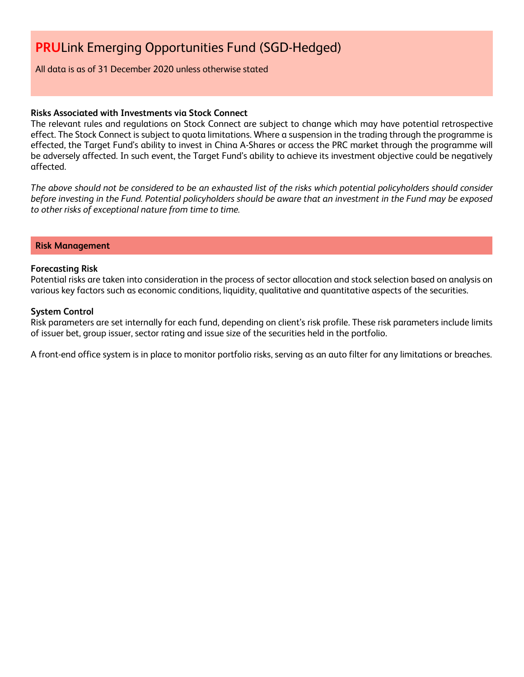#### All data is as of 31 December 2020 unless otherwise stated

#### **Risks Associated with Investments via Stock Connect**

The relevant rules and regulations on Stock Connect are subject to change which may have potential retrospective effect. The Stock Connect is subject to quota limitations. Where a suspension in the trading through the programme is effected, the Target Fund's ability to invest in China A-Shares or access the PRC market through the programme will be adversely affected. In such event, the Target Fund's ability to achieve its investment objective could be negatively affected.

*The above should not be considered to be an exhausted list of the risks which potential policyholders should consider before investing in the Fund. Potential policyholders should be aware that an investment in the Fund may be exposed to other risks of exceptional nature from time to time.*

#### **Risk Management**

#### **Forecasting Risk**

Potential risks are taken into consideration in the process of sector allocation and stock selection based on analysis on various key factors such as economic conditions, liquidity, qualitative and quantitative aspects of the securities.

#### **System Control**

Risk parameters are set internally for each fund, depending on client's risk profile. These risk parameters include limits of issuer bet, group issuer, sector rating and issue size of the securities held in the portfolio.

A front-end office system is in place to monitor portfolio risks, serving as an auto filter for any limitations or breaches.